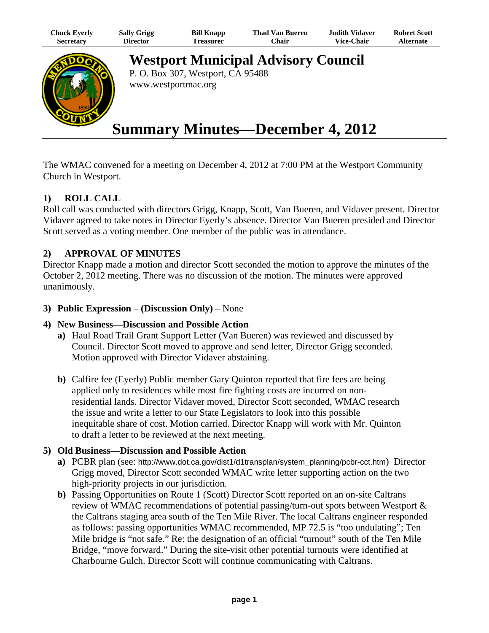| Chuck Eyerly | <b>Sally Grigg</b> | <b>Bill Knapp</b> | <b>Thad Van Bueren</b> | <b>Judith Vidaver</b> | <b>Robert Scott</b> |
|--------------|--------------------|-------------------|------------------------|-----------------------|---------------------|
| Secretary    | Director           | Treasurer         | ∵hair                  | <b>Vice-Chair</b>     | <b>Alternate</b>    |



**Westport Municipal Advisory Council** P. O. Box 307, Westport, CA 95488

www.westportmac.org

# **Summary Minutes—December 4, 2012**

The WMAC convened for a meeting on December 4, 2012 at 7:00 PM at the Westport Community Church in Westport.

# **1) ROLL CALL**

Roll call was conducted with directors Grigg, Knapp, Scott, Van Bueren, and Vidaver present. Director Vidaver agreed to take notes in Director Eyerly's absence. Director Van Bueren presided and Director Scott served as a voting member. One member of the public was in attendance.

## **2) APPROVAL OF MINUTES**

Director Knapp made a motion and director Scott seconded the motion to approve the minutes of the October 2, 2012 meeting. There was no discussion of the motion. The minutes were approved unanimously.

**3) Public Expression** – **(Discussion Only)** – None

#### **4) New Business—Discussion and Possible Action**

- **a)** Haul Road Trail Grant Support Letter (Van Bueren) was reviewed and discussed by Council. Director Scott moved to approve and send letter, Director Grigg seconded. Motion approved with Director Vidaver abstaining.
- **b)** Calfire fee (Eyerly) Public member Gary Quinton reported that fire fees are being applied only to residences while most fire fighting costs are incurred on nonresidential lands. Director Vidaver moved, Director Scott seconded, WMAC research the issue and write a letter to our State Legislators to look into this possible inequitable share of cost. Motion carried. Director Knapp will work with Mr. Quinton to draft a letter to be reviewed at the next meeting.

## **5) Old Business—Discussion and Possible Action**

- **a)** PCBR plan (see: http://www.dot.ca.gov/dist1/d1transplan/system\_planning/pcbr-cct.htm) Director Grigg moved, Director Scott seconded WMAC write letter supporting action on the two high-priority projects in our jurisdiction.
- **b)** Passing Opportunities on Route 1 (Scott) Director Scott reported on an on-site Caltrans review of WMAC recommendations of potential passing/turn-out spots between Westport & the Caltrans staging area south of the Ten Mile River. The local Caltrans engineer responded as follows: passing opportunities WMAC recommended, MP 72.5 is "too undulating"; Ten Mile bridge is "not safe." Re: the designation of an official "turnout" south of the Ten Mile Bridge, "move forward." During the site-visit other potential turnouts were identified at Charbourne Gulch. Director Scott will continue communicating with Caltrans.